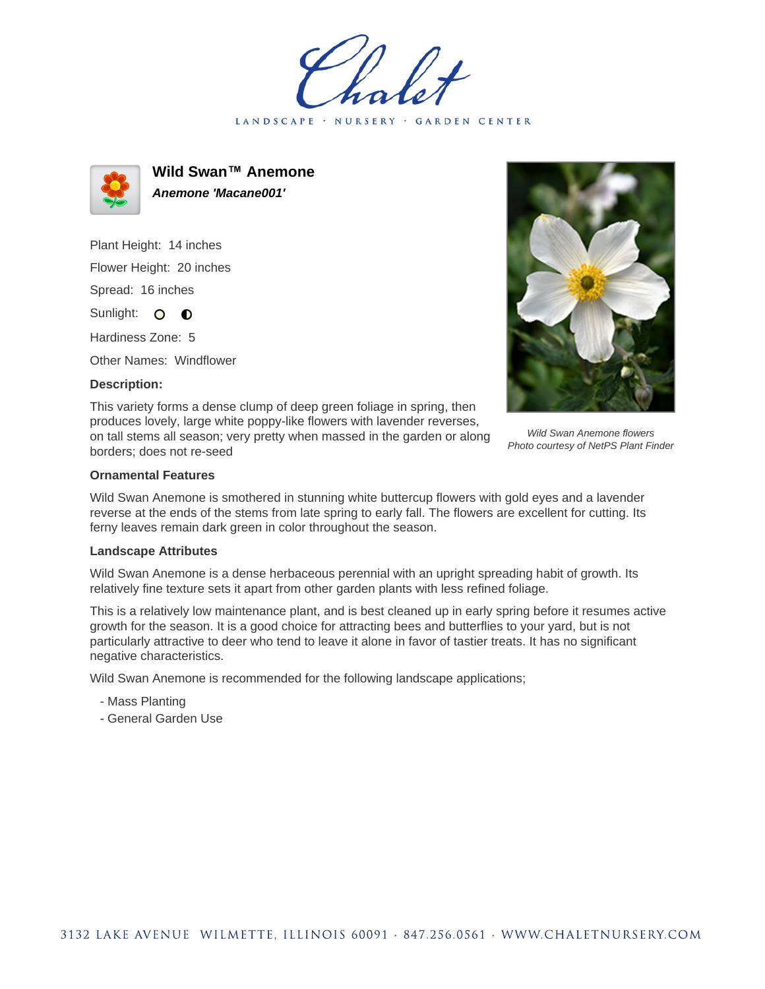LANDSCAPE · NURSERY GARDEN CENTER



**Wild Swan™ Anemone Anemone 'Macane001'**

Plant Height: 14 inches Flower Height: 20 inches Spread: 16 inches

Sunlight: O **O** 

Hardiness Zone: 5

Other Names: Windflower

## **Description:**

This variety forms a dense clump of deep green foliage in spring, then produces lovely, large white poppy-like flowers with lavender reverses, on tall stems all season; very pretty when massed in the garden or along borders; does not re-seed



Wild Swan Anemone flowers Photo courtesy of NetPS Plant Finder

## **Ornamental Features**

Wild Swan Anemone is smothered in stunning white buttercup flowers with gold eyes and a lavender reverse at the ends of the stems from late spring to early fall. The flowers are excellent for cutting. Its ferny leaves remain dark green in color throughout the season.

## **Landscape Attributes**

Wild Swan Anemone is a dense herbaceous perennial with an upright spreading habit of growth. Its relatively fine texture sets it apart from other garden plants with less refined foliage.

This is a relatively low maintenance plant, and is best cleaned up in early spring before it resumes active growth for the season. It is a good choice for attracting bees and butterflies to your yard, but is not particularly attractive to deer who tend to leave it alone in favor of tastier treats. It has no significant negative characteristics.

Wild Swan Anemone is recommended for the following landscape applications;

- Mass Planting
- General Garden Use